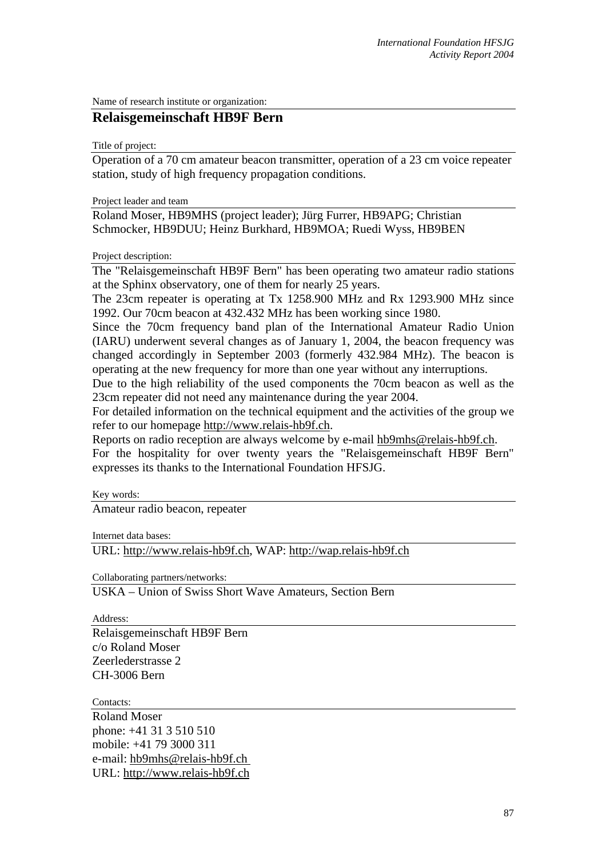Name of research institute or organization:

## **Relaisgemeinschaft HB9F Bern**

Title of project:

Operation of a 70 cm amateur beacon transmitter, operation of a 23 cm voice repeater station, study of high frequency propagation conditions.

Project leader and team

Roland Moser, HB9MHS (project leader); Jürg Furrer, HB9APG; Christian Schmocker, HB9DUU; Heinz Burkhard, HB9MOA; Ruedi Wyss, HB9BEN

Project description:

The "Relaisgemeinschaft HB9F Bern" has been operating two amateur radio stations at the Sphinx observatory, one of them for nearly 25 years.

The 23cm repeater is operating at Tx 1258.900 MHz and Rx 1293.900 MHz since 1992. Our 70cm beacon at 432.432 MHz has been working since 1980.

Since the 70cm frequency band plan of the International Amateur Radio Union (IARU) underwent several changes as of January 1, 2004, the beacon frequency was changed accordingly in September 2003 (formerly 432.984 MHz). The beacon is operating at the new frequency for more than one year without any interruptions.

Due to the high reliability of the used components the 70cm beacon as well as the 23cm repeater did not need any maintenance during the year 2004.

For detailed information on the technical equipment and the activities of the group we refer to our homepage [http://www.relais-hb9f.ch.](http://www.relais-hb9f.ch/)

Reports on radio reception are always welcome by e-mail [hb9mhs@relais-hb9f.ch.](mailto:hb9mhs@relais-hb9f.ch) For the hospitality for over twenty years the "Relaisgemeinschaft HB9F Bern" expresses its thanks to the International Foundation HFSJG.

Key words:

Amateur radio beacon, repeater

Internet data bases:

URL: [http://www.relais-hb9f.ch,](http://www.relais-hb9f.ch/) WAP: [http://wap.relais-hb9f.ch](http://wap.relais-hb9f.ch/)

Collaborating partners/networks:

USKA – Union of Swiss Short Wave Amateurs, Section Bern

Address:

Relaisgemeinschaft HB9F Bern c/o Roland Moser Zeerlederstrasse 2 CH-3006 Bern

Contacts<sup>\*</sup>

Roland Moser phone: +41 31 3 510 510 mobile: +41 79 3000 311 e-mail: hb9mhs@relais-hb9f.ch URL: [http://www.relais-hb9f.ch](http://www.relais-hb9f.ch/)